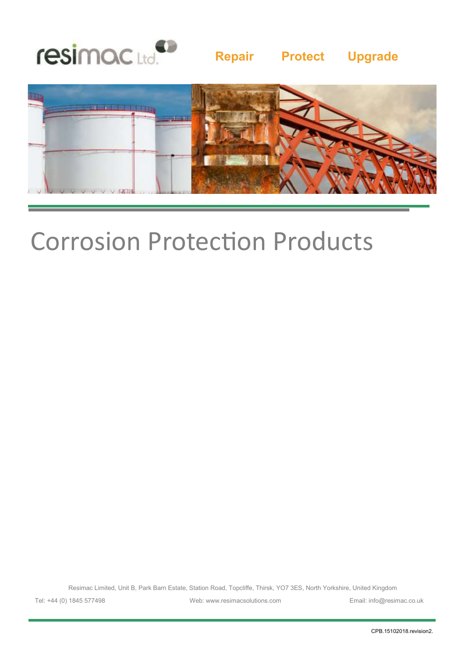

## **Repair Protect Upgrade**



# Corrosion Protection Products

Resimac Limited, Unit B, Park Barn Estate, Station Road, Topcliffe, Thirsk, YO7 3ES, North Yorkshire, United Kingdom

Tel: +44 (0) 1845 577498 Web: www.resimacsolutions.com Email: info@resimac.co.uk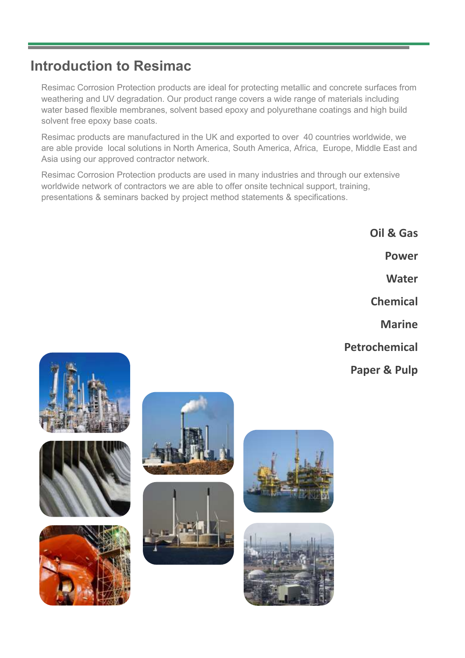## **Introduction to Resimac**

Resimac Corrosion Protection products are ideal for protecting metallic and concrete surfaces from weathering and UV degradation. Our product range covers a wide range of materials including water based flexible membranes, solvent based epoxy and polyurethane coatings and high build solvent free epoxy base coats.

Resimac products are manufactured in the UK and exported to over 40 countries worldwide, we are able provide local solutions in North America, South America, Africa, Europe, Middle East and Asia using our approved contractor network.

Resimac Corrosion Protection products are used in many industries and through our extensive worldwide network of contractors we are able to offer onsite technical support, training, presentations & seminars backed by project method statements & specifications.

> **Oil & Gas Power Water Chemical Marine Petrochemical**

**Paper & Pulp**













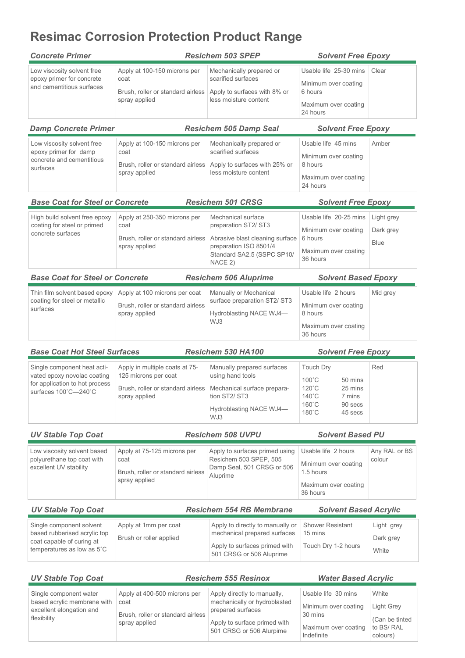## **Resimac Corrosion Protection Product Range**

| <b>Concrete Primer</b>                                                                                               |                                                                                                                                            | <b>Resichem 503 SPEP</b>                                                                                                                         | <b>Solvent Free Epoxy</b>                                                                                                     |                                        |  |  |
|----------------------------------------------------------------------------------------------------------------------|--------------------------------------------------------------------------------------------------------------------------------------------|--------------------------------------------------------------------------------------------------------------------------------------------------|-------------------------------------------------------------------------------------------------------------------------------|----------------------------------------|--|--|
| Low viscosity solvent free<br>epoxy primer for concrete<br>and cementitious surfaces                                 | Apply at 100-150 microns per<br>coat<br>Brush, roller or standard airless<br>spray applied                                                 | Mechanically prepared or<br>scarified surfaces<br>Apply to surfaces with 8% or<br>less moisture content                                          | Usable life 25-30 mins<br>Minimum over coating<br>6 hours<br>Maximum over coating<br>24 hours                                 | Clear                                  |  |  |
| <b>Damp Concrete Primer</b>                                                                                          |                                                                                                                                            | <b>Resichem 505 Damp Seal</b>                                                                                                                    | <b>Solvent Free Epoxy</b>                                                                                                     |                                        |  |  |
| Low viscosity solvent free<br>epoxy primer for damp<br>concrete and cementitious<br>surfaces                         | Apply at 100-150 microns per<br>coat<br>Brush, roller or standard airless<br>spray applied                                                 | Mechanically prepared or<br>scarified surfaces<br>Apply to surfaces with 25% or<br>less moisture content                                         | Usable life 45 mins<br>Minimum over coating<br>8 hours<br>Maximum over coating<br>24 hours                                    | Amber                                  |  |  |
| <b>Base Coat for Steel or Concrete</b>                                                                               |                                                                                                                                            | <b>Resichem 501 CRSG</b>                                                                                                                         | <b>Solvent Free Epoxy</b>                                                                                                     |                                        |  |  |
| High build solvent free epoxy<br>coating for steel or primed<br>concrete surfaces                                    | Apply at 250-350 microns per<br>coat<br>Brush, roller or standard airless<br>spray applied                                                 | Mechanical surface<br>preparation ST2/ ST3<br>Abrasive blast cleaning surface<br>preparation ISO 8501/4<br>Standard SA2.5 (SSPC SP10/<br>NACE 2) | Usable life 20-25 mins<br>Minimum over coating<br>6 hours<br>Maximum over coating<br>36 hours                                 | Light grey<br>Dark grey<br><b>Blue</b> |  |  |
| <b>Base Coat for Steel or Concrete</b>                                                                               |                                                                                                                                            | <b>Resichem 506 Aluprime</b>                                                                                                                     | <b>Solvent Based Epoxy</b>                                                                                                    |                                        |  |  |
| Thin film solvent based epoxy<br>coating for steel or metallic<br>surfaces                                           | Apply at 100 microns per coat<br>Brush, roller or standard airless<br>spray applied                                                        | Manually or Mechanical<br>surface preparation ST2/ ST3<br>Hydroblasting NACE WJ4-<br>WJ3                                                         | Usable life 2 hours<br>Minimum over coating<br>8 hours<br>Maximum over coating<br>36 hours                                    | Mid grey                               |  |  |
| <b>Base Coat Hot Steel Surfaces</b>                                                                                  |                                                                                                                                            | Resichem 530 HA100                                                                                                                               | <b>Solvent Free Epoxy</b>                                                                                                     |                                        |  |  |
| Single component heat acti-<br>vated epoxy novolac coating<br>for application to hot process<br>surfaces 100°C-240°C | Apply in multiple coats at 75-<br>125 microns per coat<br>Brush, roller or standard airless   Mechanical surface prepara-<br>spray applied | Manually prepared surfaces<br>using hand tools<br>tion ST2/ ST3<br>Hydroblasting NACE WJ4-<br>WJ3                                                | <b>Touch Dry</b><br>$100^{\circ}$ C<br>50 mins<br>120°C<br>25 mins<br>140°C<br>7 mins<br>160°C<br>90 secs<br>180°C<br>45 secs | Red                                    |  |  |
| <b>UV Stable Top Coat</b>                                                                                            |                                                                                                                                            | <b>Resichem 508 UVPU</b>                                                                                                                         | <b>Solvent Based PU</b>                                                                                                       |                                        |  |  |
| Low viscosity solvent based<br>polyurethane top coat with<br>excellent UV stability                                  | Apply at 75-125 microns per<br>coat<br>Brush, roller or standard airless<br>spray applied                                                  | Apply to surfaces primed using<br>Resichem 503 SPEP, 505<br>Damp Seal, 501 CRSG or 506<br>Aluprime                                               | Usable life 2 hours<br>Minimum over coating<br>1.5 hours<br>Maximum over coating<br>36 hours                                  | Any RAL or BS<br>colour                |  |  |
| <b>UV Stable Top Coat</b>                                                                                            |                                                                                                                                            | <b>Resichem 554 RB Membrane</b>                                                                                                                  | <b>Solvent Based Acrylic</b>                                                                                                  |                                        |  |  |
| Single component solvent<br>based rubberised acrylic top<br>coat capable of curing at<br>temperatures as low as 5°C  | Apply at 1mm per coat<br>Brush or roller applied                                                                                           | Apply to directly to manually or<br>mechanical prepared surfaces<br>Apply to surfaces primed with<br>501 CRSG or 506 Aluprime                    | <b>Shower Resistant</b><br>15 mins<br>Touch Dry 1-2 hours                                                                     | Light grey<br>Dark grey<br>White       |  |  |
| <b>UV Stable Top Coat</b>                                                                                            |                                                                                                                                            | <b>Resichem 555 Resinox</b>                                                                                                                      | <b>Water Based Acrylic</b>                                                                                                    |                                        |  |  |

| ----------------                                      |                                      |                                                             |                                    |                              |  |  |
|-------------------------------------------------------|--------------------------------------|-------------------------------------------------------------|------------------------------------|------------------------------|--|--|
|                                                       |                                      |                                                             |                                    |                              |  |  |
| Single component water<br>based acrylic membrane with | Apply at 400-500 microns per<br>coat | Apply directly to manually,<br>mechanically or hydroblasted | Usable life 30 mins                | White                        |  |  |
| excellent elongation and<br>flexibility               | Brush, roller or standard airless    | prepared surfaces                                           | Minimum over coating<br>30 mins    | Light Grey<br>(Can be tinted |  |  |
|                                                       | spray applied                        | Apply to surface primed with<br>501 CRSG or 506 Alurpime    | Maximum over coating<br>Indefinite | to BS/RAL<br>colours)        |  |  |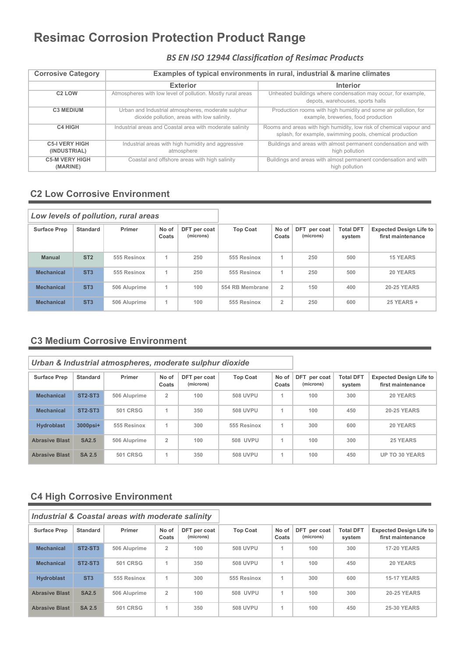## **Resimac Corrosion Protection Product Range**

### *BS EN ISO 12944 Classification of Resimac Products*

| <b>Corrosive Category</b>             | Examples of typical environments in rural, industrial & marine climates                           |                                                                                                                                 |  |  |  |  |  |  |  |
|---------------------------------------|---------------------------------------------------------------------------------------------------|---------------------------------------------------------------------------------------------------------------------------------|--|--|--|--|--|--|--|
|                                       | <b>Exterior</b>                                                                                   | <b>Interior</b>                                                                                                                 |  |  |  |  |  |  |  |
| C <sub>2</sub> LOW                    | Atmospheres with low level of pollution. Mostly rural areas                                       | Unheated buildings where condensation may occur, for example,<br>depots, warehouses, sports halls                               |  |  |  |  |  |  |  |
| <b>C3 MEDIUM</b>                      | Urban and Industrial atmospheres, moderate sulphur<br>dioxide pollution, areas with low salinity. | Production rooms with high humidity and some air pollution, for<br>example, breweries, food production                          |  |  |  |  |  |  |  |
| <b>C4 HIGH</b>                        | Industrial areas and Coastal area with moderate salinity                                          | Rooms and areas with high humidity, low risk of chemical vapour and<br>splash, for example, swimming pools, chemical production |  |  |  |  |  |  |  |
| <b>C5-I VERY HIGH</b><br>(INDUSTRIAL) | Industrial areas with high humidity and aggressive<br>atmosphere                                  | Buildings and areas with almost permanent condensation and with<br>high pollution                                               |  |  |  |  |  |  |  |
| <b>C5-M VERY HIGH</b><br>(MARINE)     | Coastal and offshore areas with high salinity                                                     | Buildings and areas with almost permanent condensation and with<br>high pollution                                               |  |  |  |  |  |  |  |

### **C2 Low Corrosive Environment**

|                     |                 | Low levels of pollution, rural areas |                |                           |                 |                |                           |                            |                                                     |
|---------------------|-----------------|--------------------------------------|----------------|---------------------------|-----------------|----------------|---------------------------|----------------------------|-----------------------------------------------------|
| <b>Surface Prep</b> | <b>Standard</b> | Primer                               | No of<br>Coats | DFT per coat<br>(microns) | <b>Top Coat</b> | No of<br>Coats | DFT per coat<br>(microns) | <b>Total DFT</b><br>system | <b>Expected Design Life to</b><br>first maintenance |
| <b>Manual</b>       | ST <sub>2</sub> | 555 Resinox                          | 1              | 250                       | 555 Resinox     | 1              | 250                       | 500                        | <b>15 YEARS</b>                                     |
| <b>Mechanical</b>   | ST <sub>3</sub> | 555 Resinox                          | 1              | 250                       | 555 Resinox     | 1              | 250                       | 500                        | 20 YEARS                                            |
| <b>Mechanical</b>   | ST <sub>3</sub> | 506 Aluprime                         | 1              | 100                       | 554 RB Membrane | $\overline{2}$ | 150                       | 400                        | <b>20-25 YEARS</b>                                  |
| <b>Mechanical</b>   | ST <sub>3</sub> | 506 Aluprime                         | 1              | 100                       | 555 Resinox     | $\overline{2}$ | 250                       | 600                        | 25 YEARS +                                          |

### **C3 Medium Corrosive Environment**

|                       |                                  | Urban & Industrial atmospheres, moderate sulphur dioxide |                |                           |                 |                |                           |                            |                                                     |
|-----------------------|----------------------------------|----------------------------------------------------------|----------------|---------------------------|-----------------|----------------|---------------------------|----------------------------|-----------------------------------------------------|
| <b>Surface Prep</b>   | Standard                         | Primer                                                   | No of<br>Coats | DFT per coat<br>(microns) | <b>Top Coat</b> | No of<br>Coats | DFT per coat<br>(microns) | <b>Total DFT</b><br>system | <b>Expected Design Life to</b><br>first maintenance |
| <b>Mechanical</b>     | <b>ST2-ST3</b>                   | 506 Aluprime                                             | $\overline{2}$ | 100                       | <b>508 UVPU</b> |                | 100                       | 300                        | 20 YEARS                                            |
| <b>Mechanical</b>     | ST <sub>2</sub> -ST <sub>3</sub> | <b>501 CRSG</b>                                          | $\overline{A}$ | 350                       | <b>508 UVPU</b> |                | 100                       | 450                        | <b>20-25 YEARS</b>                                  |
| <b>Hydroblast</b>     | $3000$ psi+                      | 555 Resinox                                              | 4              | 300                       | 555 Resinox     |                | 300                       | 600                        | 20 YEARS                                            |
| <b>Abrasive Blast</b> | <b>SA2.5</b>                     | 506 Aluprime                                             | $\overline{2}$ | 100                       | <b>508 UVPU</b> |                | 100                       | 300                        | 25 YEARS                                            |
| <b>Abrasive Blast</b> | <b>SA 2.5</b>                    | <b>501 CRSG</b>                                          |                | 350                       | <b>508 UVPU</b> |                | 100                       | 450                        | <b>UP TO 30 YEARS</b>                               |

### **C4 High Corrosive Environment**

|                       |                                  | <b>Industrial &amp; Coastal areas with moderate salinity</b> |                |                           |                 |                |                           |                            |                                                     |
|-----------------------|----------------------------------|--------------------------------------------------------------|----------------|---------------------------|-----------------|----------------|---------------------------|----------------------------|-----------------------------------------------------|
| <b>Surface Prep</b>   | Standard                         | Primer                                                       | No of<br>Coats | DFT per coat<br>(microns) | <b>Top Coat</b> | No of<br>Coats | DFT per coat<br>(microns) | <b>Total DFT</b><br>system | <b>Expected Design Life to</b><br>first maintenance |
| <b>Mechanical</b>     | ST <sub>2</sub> -ST <sub>3</sub> | 506 Aluprime                                                 | $\overline{2}$ | 100                       | <b>508 UVPU</b> | 1              | 100                       | 300                        | <b>17-20 YEARS</b>                                  |
| <b>Mechanical</b>     | <b>ST2-ST3</b>                   | <b>501 CRSG</b>                                              | 1              | 350                       | <b>508 UVPU</b> | 1              | 100                       | 450                        | 20 YEARS                                            |
| <b>Hydroblast</b>     | ST <sub>3</sub>                  | 555 Resinox                                                  | 1              | 300                       | 555 Resinox     | 1              | 300                       | 600                        | <b>15-17 YEARS</b>                                  |
| <b>Abrasive Blast</b> | <b>SA2.5</b>                     | 506 Aluprime                                                 | $\overline{2}$ | 100                       | 508 UVPU        | 1              | 100                       | 300                        | <b>20-25 YEARS</b>                                  |
| <b>Abrasive Blast</b> | <b>SA 2.5</b>                    | <b>501 CRSG</b>                                              | 1              | 350                       | <b>508 UVPU</b> | 1              | 100                       | 450                        | <b>25-30 YEARS</b>                                  |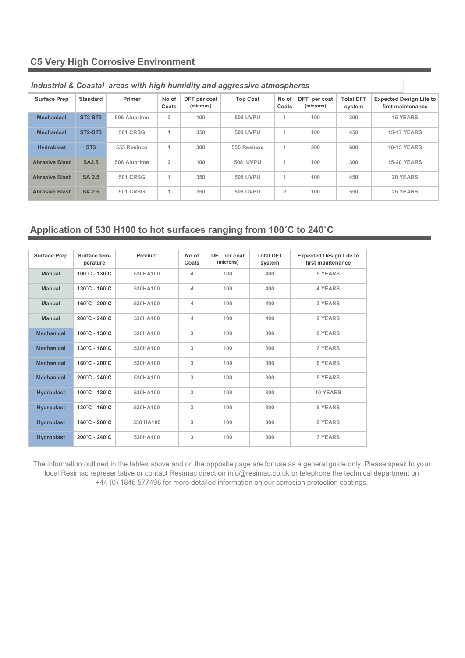### **C5 Very High Corrosive Environment**

| Industrial & Coastal areas with high humidity and aggressive atmospheres |                                  |                 |                |                           |                 |                |                           |                            |                                                     |
|--------------------------------------------------------------------------|----------------------------------|-----------------|----------------|---------------------------|-----------------|----------------|---------------------------|----------------------------|-----------------------------------------------------|
| <b>Surface Prep</b>                                                      | <b>Standard</b>                  | Primer          | No of<br>Coats | DFT per coat<br>(microns) | <b>Top Coat</b> | No of<br>Coats | DFT per coat<br>(microns) | <b>Total DFT</b><br>system | <b>Expected Design Life to</b><br>first maintenance |
| <b>Mechanical</b>                                                        | ST <sub>2</sub> -ST <sub>3</sub> | 506 Aluprime    | $\overline{2}$ | 100                       | <b>508 UVPU</b> | 1              | 100                       | 300                        | <b>15 YEARS</b>                                     |
| <b>Mechanical</b>                                                        | <b>ST2-ST3</b>                   | <b>501 CRSG</b> | 1              | 350                       | <b>508 UVPU</b> | 1              | 100                       | 450                        | <b>15-17 YEARS</b>                                  |
| <b>Hydroblast</b>                                                        | ST <sub>3</sub>                  | 555 Resinox     |                | 300                       | 555 Resinox     |                | 300                       | 600                        | <b>10-15 YEARS</b>                                  |
| <b>Abrasive Blast</b>                                                    | <b>SA2.5</b>                     | 506 Aluprime    | $\overline{2}$ | 100                       | <b>508 UVPU</b> | 4              | 100                       | 300                        | <b>15-20 YEARS</b>                                  |
| <b>Abrasive Blast</b>                                                    | <b>SA 2.5</b>                    | <b>501 CRSG</b> | 1              | 350                       | <b>508 UVPU</b> | 1              | 100                       | 450                        | 20 YEARS                                            |
| <b>Abrasive Blast</b>                                                    | <b>SA 2.5</b>                    | <b>501 CRSG</b> | 1              | 350                       | <b>508 UVPU</b> | $\overline{2}$ | 100                       | 550                        | 25 YEARS                                            |

*Industrial & Coastal areas with high humidity and aggressive atmospheres* 

### **Application of 530 H100 to hot surfaces ranging from 100˚C to 240˚C**

| <b>Surface Prep</b> | Surface tem-<br>perature           | Product   | No of<br>Coats | DFT per coat<br>(microns) | <b>Total DFT</b><br>system | <b>Expected Design Life to</b><br>first maintenance |
|---------------------|------------------------------------|-----------|----------------|---------------------------|----------------------------|-----------------------------------------------------|
| <b>Manual</b>       | 100°C - 130°C                      | 530HA100  | 4              | 100                       | 400                        | 5 YEARS                                             |
| <b>Manual</b>       | $130^{\circ}$ C - $160^{\circ}$ C  | 530HA100  | 4              | 100                       | 400                        | <b>4 YEARS</b>                                      |
| <b>Manual</b>       | 160°C - 200°C                      | 530HA100  | $\Delta$       | 100                       | 400                        | 3 YEARS                                             |
| <b>Manual</b>       | $200^{\circ}$ C - 240 $^{\circ}$ C | 530HA100  | $\Delta$       | 100                       | 400                        | 2 YEARS                                             |
| <b>Mechanical</b>   | 100°C - 130°C                      | 530HA100  | 3              | 100                       | 300                        | 8 YEARS                                             |
| <b>Mechanical</b>   | 130°C - 160°C                      | 530HA100  | 3              | 100                       | 300                        | <b>7 YEARS</b>                                      |
| <b>Mechanical</b>   | $160^{\circ}$ C - 200 $^{\circ}$ C | 530HA100  | 3              | 100                       | 300                        | <b>6 YEARS</b>                                      |
| <b>Mechanical</b>   | $200^{\circ}$ C - 240 $^{\circ}$ C | 530HA100  | 3              | 100                       | 300                        | 5 YEARS                                             |
| <b>Hydroblast</b>   | $100^{\circ}$ C - 130 $^{\circ}$ C | 530HA100  | 3              | 100                       | 300                        | <b>10 YEARS</b>                                     |
| <b>Hydroblast</b>   | 130°C - 160°C                      | 530HA100  | 3              | 100                       | 300                        | 9 YEARS                                             |
| <b>Hydroblast</b>   | 160°C - 200°C                      | 530 HA100 | 3              | 100                       | 300                        | 8 YEARS                                             |
| <b>Hydroblast</b>   | 200°C - 240°C                      | 530HA100  | 3              | 100                       | 300                        | <b>7 YEARS</b>                                      |

The information outlined in the tables above and on the opposite page are for use as a general guide only. Please speak to your local Resimac representative or contact Resimac direct on info@resimac.co.uk or telephone the technical department on +44 (0) 1845 577498 for more detailed information on our corrosion protection coatings.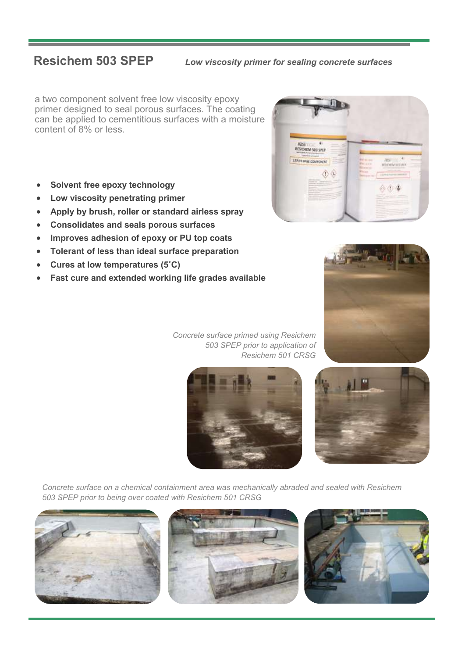**Resichem 503 SPEP** *Low viscosity primer for sealing concrete surfaces* 

a two component solvent free low viscosity epoxy primer designed to seal porous surfaces. The coating can be applied to cementitious surfaces with a moisture content of 8% or less.

- **Solvent free epoxy technology**
- **Low viscosity penetrating primer**
- **Apply by brush, roller or standard airless spray**
- **Consolidates and seals porous surfaces**
- **Improves adhesion of epoxy or PU top coats**
- **Tolerant of less than ideal surface preparation**
- **Cures at low temperatures (5˚C)**
- **Fast cure and extended working life grades available**





*Concrete surface primed using Resichem 503 SPEP prior to application of Resichem 501 CRSG* 





*Concrete surface on a chemical containment area was mechanically abraded and sealed with Resichem 503 SPEP prior to being over coated with Resichem 501 CRSG* 





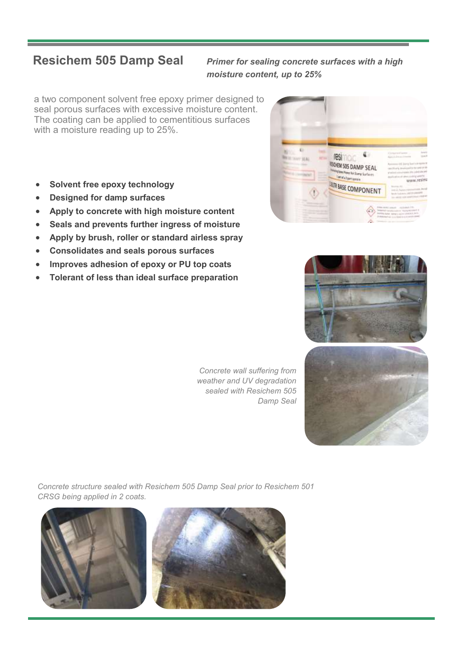### **Resichem 505 Damp Seal** *Primer for sealing concrete surfaces with a high moisture content, up to 25%*

a two component solvent free epoxy primer designed to seal porous surfaces with excessive moisture content. The coating can be applied to cementitious surfaces with a moisture reading up to 25%.

- **Solvent free epoxy technology**
- **Designed for damp surfaces**
- **Apply to concrete with high moisture content**
- **Seals and prevents further ingress of moisture**
- **Apply by brush, roller or standard airless spray**
- **Consolidates and seals porous surfaces**
- **Improves adhesion of epoxy or PU top coats**
- **Tolerant of less than ideal surface preparation**







*Concrete wall suffering from weather and UV degradation sealed with Resichem 505 Damp Seal*

*Concrete structure sealed with Resichem 505 Damp Seal prior to Resichem 501 CRSG being applied in 2 coats.*



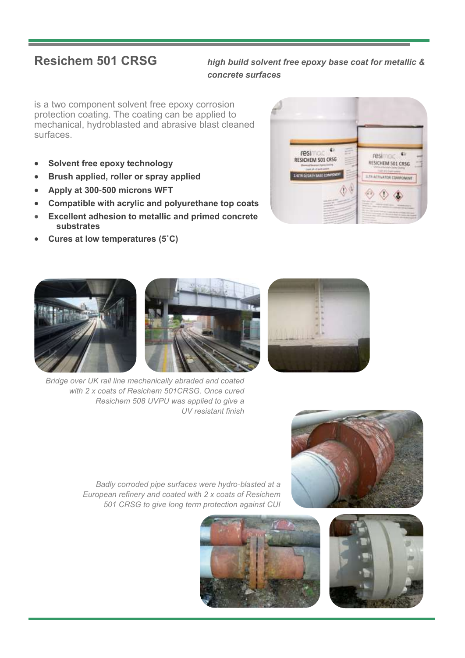### **Resichem 501 CRSG** *high build solvent free epoxy base coat for metallic & concrete surfaces*

is a two component solvent free epoxy corrosion protection coating. The coating can be applied to mechanical, hydroblasted and abrasive blast cleaned surfaces.

- **Solvent free epoxy technology**
- **Brush applied, roller or spray applied**
- **Apply at 300-500 microns WFT**
- **Compatible with acrylic and polyurethane top coats**
- **Excellent adhesion to metallic and primed concrete substrates**
- **Cures at low temperatures (5˚C)**





*Bridge over UK rail line mechanically abraded and coated with 2 x coats of Resichem 501CRSG. Once cured Resichem 508 UVPU was applied to give a UV resistant finish*



*Badly corroded pipe surfaces were hydro-blasted at a European refinery and coated with 2 x coats of Resichem 501 CRSG to give long term protection against CUI*



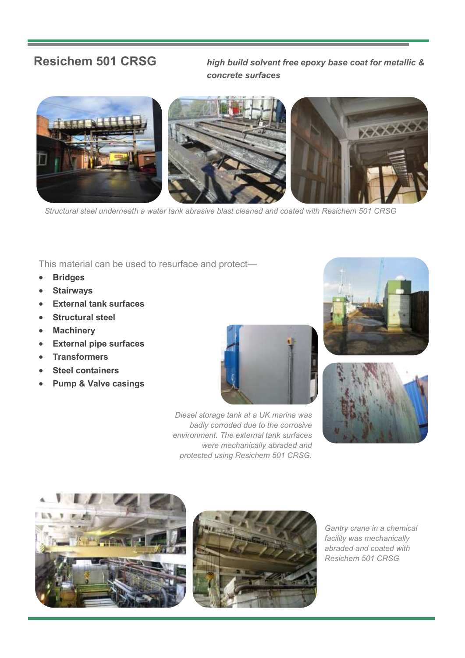**Resichem 501 CRSG** *high build solvent free epoxy base coat for metallic & concrete surfaces* 



*Structural steel underneath a water tank abrasive blast cleaned and coated with Resichem 501 CRSG*

This material can be used to resurface and protect—

- **Bridges**
- **Stairways**
- **External tank surfaces**
- **Structural steel**
- **Machinery**
- **External pipe surfaces**
- **Transformers**
- **Steel containers**
- **Pump & Valve casings**



*Diesel storage tank at a UK marina was badly corroded due to the corrosive environment. The external tank surfaces were mechanically abraded and protected using Resichem 501 CRSG.*









*Gantry crane in a chemical facility was mechanically abraded and coated with Resichem 501 CRSG*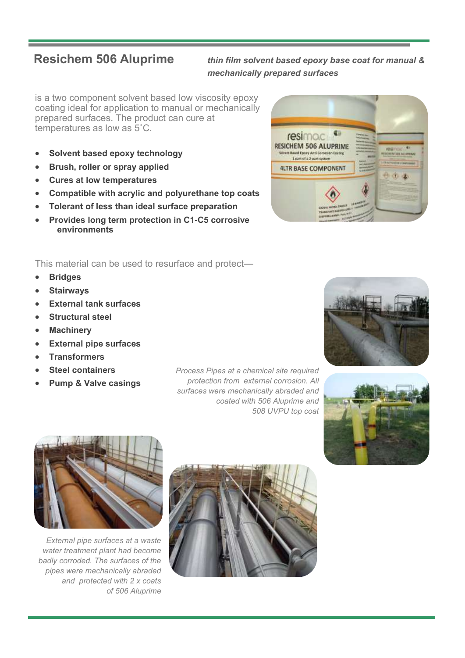**Resichem 506 Aluprime** *thin film solvent based epoxy base coat for manual & mechanically prepared surfaces* 

is a two component solvent based low viscosity epoxy coating ideal for application to manual or mechanically prepared surfaces. The product can cure at temperatures as low as 5˚C.

- **Solvent based epoxy technology**
- **Brush, roller or spray applied**
- **Cures at low temperatures**
- **Compatible with acrylic and polyurethane top coats**
- **Tolerant of less than ideal surface preparation**
- **Provides long term protection in C1-C5 corrosive environments**

This material can be used to resurface and protect—

- **Bridges**
- **Stairways**
- **External tank surfaces**
- **Structural steel**
- **Machinery**
- **External pipe surfaces**
- **Transformers**
- **Steel containers**
- **Pump & Valve casings**

*Process Pipes at a chemical site required protection from external corrosion. All surfaces were mechanically abraded and coated with 506 Aluprime and 508 UVPU top coat*







*External pipe surfaces at a waste water treatment plant had become badly corroded. The surfaces of the pipes were mechanically abraded and protected with 2 x coats of 506 Aluprime* 



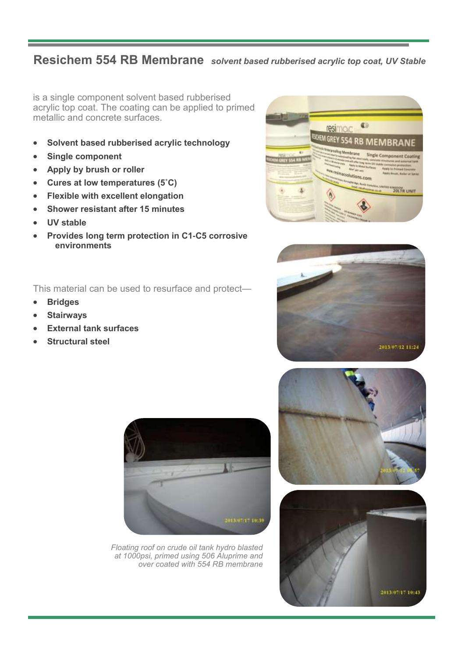## **Resichem 554 RB Membrane** *solvent based rubberised acrylic top coat, UV Stable*

is a single component solvent based rubberised acrylic top coat. The coating can be applied to primed metallic and concrete surfaces.

- **Solvent based rubberised acrylic technology**
- **Single component**
- **Apply by brush or roller**
- **Cures at low temperatures (5˚C)**
- **Flexible with excellent elongation**
- **Shower resistant after 15 minutes**
- **UV stable**
- **Provides long term protection in C1-C5 corrosive environments**

This material can be used to resurface and protect—

- **Bridges**
- **Stairways**
- **External tank surfaces**
- **Structural steel**







*Floating roof on crude oil tank hydro blasted at 1000psi, primed using 506 Aluprime and over coated with 554 RB membrane* 



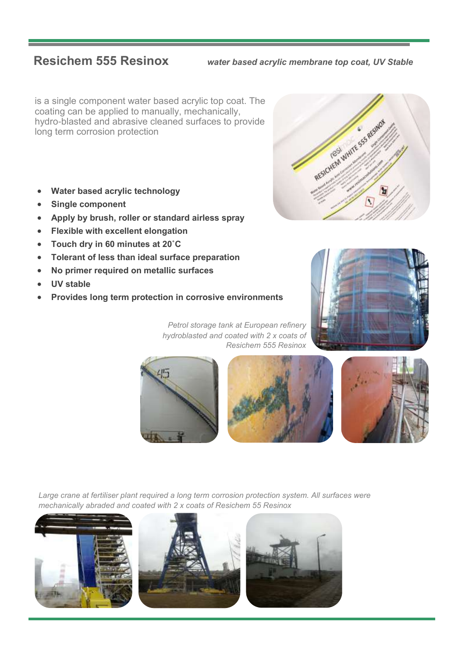**Resichem 555 Resinox** *water based acrylic membrane top coat, UV Stable* 

is a single component water based acrylic top coat. The coating can be applied to manually, mechanically, hydro-blasted and abrasive cleaned surfaces to provide long term corrosion protection

- **Water based acrylic technology**
- **Single component**
- **Apply by brush, roller or standard airless spray**
- **Flexible with excellent elongation**
- **Touch dry in 60 minutes at 20˚C**
- **Tolerant of less than ideal surface preparation**
- **No primer required on metallic surfaces**
- **UV stable**
- **Provides long term protection in corrosive environments**



*Petrol storage tank at European refinery hydroblasted and coated with 2 x coats of Resichem 555 Resinox* 







*Large crane at fertiliser plant required a long term corrosion protection system. All surfaces were mechanically abraded and coated with 2 x coats of Resichem 55 Resinox*



![](_page_11_Picture_19.jpeg)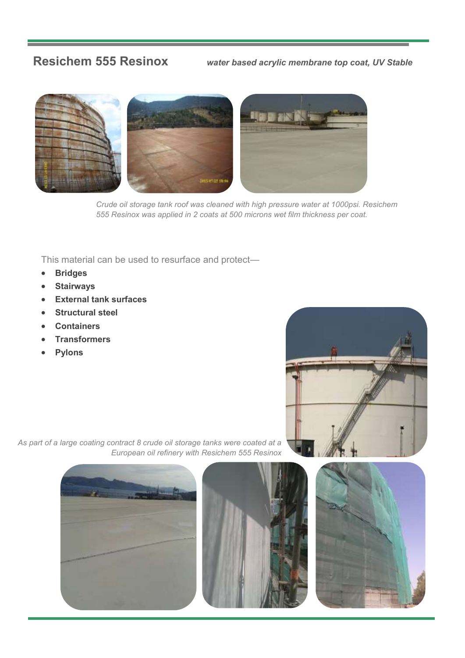**Resichem 555 Resinox** *water based acrylic membrane top coat, UV Stable* 

![](_page_12_Picture_2.jpeg)

*Crude oil storage tank roof was cleaned with high pressure water at 1000psi. Resichem 555 Resinox was applied in 2 coats at 500 microns wet film thickness per coat.*

This material can be used to resurface and protect—

- **Bridges**
- **Stairways**
- **External tank surfaces**
- **Structural steel**
- **Containers**
- **Transformers**
- **Pylons**

![](_page_12_Picture_12.jpeg)

*As part of a large coating contract 8 crude oil storage tanks were coated at a European oil refinery with Resichem 555 Resinox* 

![](_page_12_Picture_14.jpeg)

![](_page_12_Picture_15.jpeg)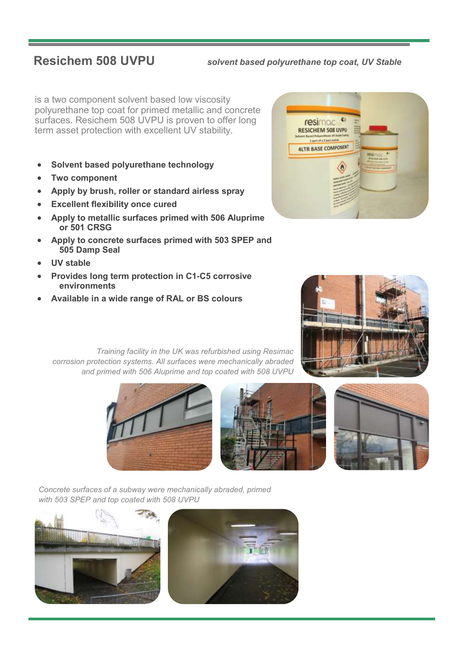**Resichem 508 UVPU** *solvent based polyurethane top coat, UV Stable* 

is a two component solvent based low viscosity polyurethane top coat for primed metallic and concrete surfaces. Resichem 508 UVPU is proven to offer long term asset protection with excellent UV stability.

- **Solvent based polyurethane technology**
- **Two component**
- **Apply by brush, roller or standard airless spray**
- **Excellent flexibility once cured**
- **Apply to metallic surfaces primed with 506 Aluprime or 501 CRSG**
- **Apply to concrete surfaces primed with 503 SPEP and 505 Damp Seal**
- **UV stable**
- **Provides long term protection in C1-C5 corrosive environments**
- **Available in a wide range of RAL or BS colours**

![](_page_13_Picture_12.jpeg)

![](_page_13_Picture_13.jpeg)

![](_page_13_Picture_14.jpeg)

![](_page_13_Picture_15.jpeg)

![](_page_13_Picture_16.jpeg)

*Concrete surfaces of a subway were mechanically abraded, primed with 503 SPEP and top coated with 508 UVPU*

![](_page_13_Picture_18.jpeg)

![](_page_13_Picture_19.jpeg)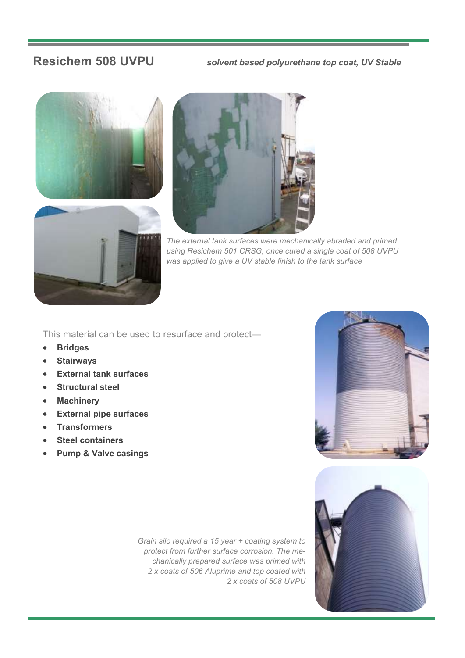**Resichem 508 UVPU** *solvent based polyurethane top coat, UV Stable* 

![](_page_14_Picture_2.jpeg)

![](_page_14_Picture_3.jpeg)

*The external tank surfaces were mechanically abraded and primed using Resichem 501 CRSG, once cured a single coat of 508 UVPU was applied to give a UV stable finish to the tank surface*

This material can be used to resurface and protect—

- **Bridges**
- **Stairways**
- **External tank surfaces**
- **Structural steel**
- **Machinery**
- **External pipe surfaces**
- **Transformers**
- **Steel containers**
- **Pump & Valve casings**

*Grain silo required a 15 year + coating system to protect from further surface corrosion. The mechanically prepared surface was primed with 2 x coats of 506 Aluprime and top coated with 2 x coats of 508 UVPU*

![](_page_14_Picture_16.jpeg)

![](_page_14_Picture_17.jpeg)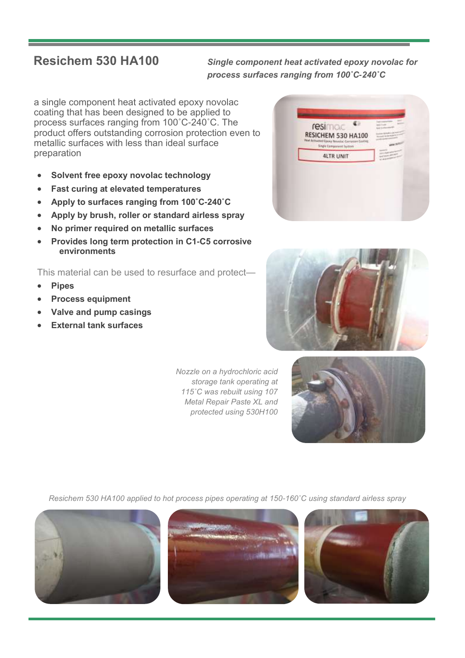**Resichem 530 HA100** *Single component heat activated epoxy novolac for process surfaces ranging from 100˚C-240˚C* 

a single component heat activated epoxy novolac coating that has been designed to be applied to process surfaces ranging from 100˚C-240˚C. The product offers outstanding corrosion protection even to metallic surfaces with less than ideal surface preparation

- **Solvent free epoxy novolac technology**
- **Fast curing at elevated temperatures**
- **Apply to surfaces ranging from 100˚C-240˚C**
- **Apply by brush, roller or standard airless spray**
- **No primer required on metallic surfaces**
- **Provides long term protection in C1-C5 corrosive environments**

This material can be used to resurface and protect—

- **Pipes**
- **Process equipment**
- **Valve and pump casings**
- **External tank surfaces**

*Nozzle on a hydrochloric acid storage tank operating at 115˚C was rebuilt using 107 Metal Repair Paste XL and protected using 530H100*

![](_page_15_Picture_15.jpeg)

![](_page_15_Picture_16.jpeg)

![](_page_15_Picture_17.jpeg)

*Resichem 530 HA100 applied to hot process pipes operating at 150-160˚C using standard airless spray*

![](_page_15_Picture_19.jpeg)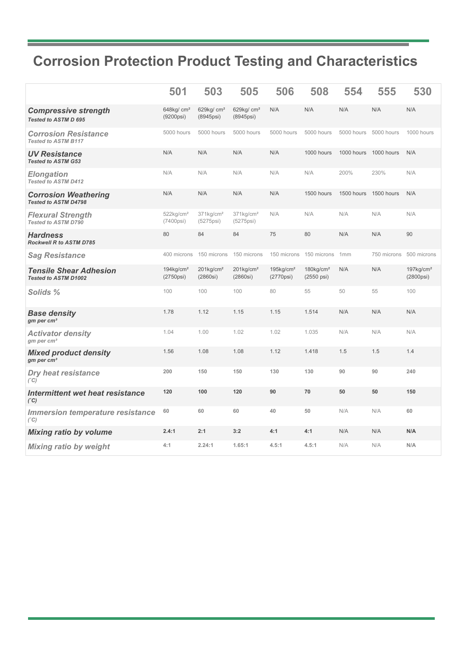## **Corrosion Protection Product Testing and Characteristics**

|                                                              | 501                                   | 503                                   | 505                                         | 506                                   | 508                                    | 554                   | 555         | 530                                            |
|--------------------------------------------------------------|---------------------------------------|---------------------------------------|---------------------------------------------|---------------------------------------|----------------------------------------|-----------------------|-------------|------------------------------------------------|
| <b>Compressive strength</b><br>Tested to ASTM D 695          | 648kg/ $cm2$<br>(9200psi)             | 629 $kg/cm2$<br>(8945psi)             | 629 $kg/cm2$<br>(8945psi)                   | N/A                                   | N/A                                    | N/A                   | N/A         | N/A                                            |
| <b>Corrosion Resistance</b><br><b>Tested to ASTM B117</b>    | 5000 hours                            | 5000 hours                            | 5000 hours                                  | 5000 hours                            | 5000 hours                             | 5000 hours            | 5000 hours  | 1000 hours                                     |
| <b>UV Resistance</b><br><b>Tested to ASTM G53</b>            | N/A                                   | N/A                                   | N/A                                         | N/A                                   | 1000 hours                             | 1000 hours 1000 hours |             | N/A                                            |
| <b>Elongation</b><br>Tested to ASTM D412                     | N/A                                   | N/A                                   | N/A                                         | N/A                                   | N/A                                    | 200%                  | 230%        | N/A                                            |
| <b>Corrosion Weathering</b><br><b>Tested to ASTM D4798</b>   | N/A                                   | N/A                                   | N/A                                         | N/A                                   | 1500 hours                             | 1500 hours            | 1500 hours  | N/A                                            |
| <b>Flexural Strength</b><br><b>Tested to ASTM D790</b>       | $522$ kg/cm <sup>2</sup><br>(7400psi) | $371$ kg/cm <sup>2</sup><br>(5275psi) | 371kg/cm <sup>2</sup><br>$(5275\text{psi})$ | N/A                                   | N/A                                    | N/A                   | N/A         | N/A                                            |
| <b>Hardness</b><br>Rockwell R to ASTM D785                   | 80                                    | 84                                    | 84                                          | 75                                    | 80                                     | N/A                   | N/A         | 90                                             |
| <b>Sag Resistance</b>                                        | 400 microns                           | 150 microns                           | 150 microns                                 | 150 microns                           | 150 microns                            | 1mm                   | 750 microns | 500 microns                                    |
| <b>Tensile Shear Adhesion</b><br><b>Tested to ASTM D1002</b> | $194$ kg/cm <sup>2</sup><br>(2750psi) | $201$ kg/cm <sup>2</sup><br>(2860si)  | $201$ kg/cm <sup>2</sup><br>(2860si)        | $195$ kg/cm <sup>2</sup><br>(2770psi) | $180$ kg/cm <sup>2</sup><br>(2550 psi) | N/A                   | N/A         | $197$ kg/cm <sup>2</sup><br>$(2800\text{psi})$ |
| Solids %                                                     | 100                                   | 100                                   | 100                                         | 80                                    | 55                                     | 50                    | 55          | 100                                            |
| <b>Base density</b><br>gm per $cm3$                          | 1.78                                  | 1.12                                  | 1.15                                        | 1.15                                  | 1.514                                  | N/A                   | N/A         | N/A                                            |
| <b>Activator density</b><br>$gm$ per cm <sup>3</sup>         | 1.04                                  | 1.00                                  | 1.02                                        | 1.02                                  | 1.035                                  | N/A                   | N/A         | N/A                                            |
| <b>Mixed product density</b><br>gm per cm <sup>3</sup>       | 1.56                                  | 1.08                                  | 1.08                                        | 1.12                                  | 1.418                                  | 1.5                   | 1.5         | 1.4                                            |
| <b>Dry heat resistance</b><br>(°C)                           | 200                                   | 150                                   | 150                                         | 130                                   | 130                                    | 90                    | 90          | 240                                            |
| Intermittent wet heat resistance<br>(°C)                     | 120                                   | 100                                   | 120                                         | 90                                    | 70                                     | 50                    | 50          | 150                                            |
| <b>Immersion temperature resistance</b><br>(°C)              | 60                                    | 60                                    | 60                                          | 40                                    | 50                                     | N/A                   | N/A         | 60                                             |
| <b>Mixing ratio by volume</b>                                | 2.4:1                                 | 2:1                                   | 3:2                                         | 4:1                                   | 4:1                                    | N/A                   | N/A         | N/A                                            |
| <b>Mixing ratio by weight</b>                                | 4:1                                   | 2.24:1                                | 1.65:1                                      | 4.5:1                                 | 4.5:1                                  | N/A                   | N/A         | N/A                                            |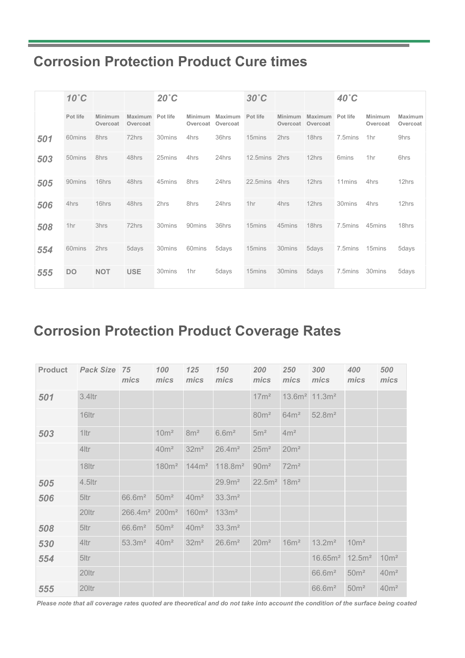## **Corrosion Protection Product Cure times**

|     | $10^{\circ}$ C     |                     |                     | $20^{\circ}$ C |                     |                     | $30^{\circ}$ C |                     |                     | 40°C               |                     |                     |
|-----|--------------------|---------------------|---------------------|----------------|---------------------|---------------------|----------------|---------------------|---------------------|--------------------|---------------------|---------------------|
|     | Pot life           | Minimum<br>Overcoat | Maximum<br>Overcoat | Pot life       | Minimum<br>Overcoat | Maximum<br>Overcoat | Pot life       | Minimum<br>Overcoat | Maximum<br>Overcoat | Pot life           | Minimum<br>Overcoat | Maximum<br>Overcoat |
| 501 | 60mins             | 8hrs                | 72hrs               | 30mins         | 4hrs                | 36hrs               | 15mins         | 2hrs                | 18hrs               | 7.5mins            | 1hr                 | 9hrs                |
| 503 | 50 <sub>mins</sub> | 8hrs                | 48hrs               | 25mins         | 4hrs                | 24hrs               | 12.5mins       | 2hrs                | 12hrs               | 6mins              | 1 <sub>hr</sub>     | 6hrs                |
| 505 | 90mins             | 16hrs               | 48hrs               | 45mins         | 8hrs                | 24hrs               | 22.5mins       | 4hrs                | 12hrs               | 11 <sub>mins</sub> | 4hrs                | 12hrs               |
| 506 | 4hrs               | 16hrs               | 48hrs               | 2hrs           | 8hrs                | 24hrs               | 1hr            | 4hrs                | 12hrs               | 30mins             | 4hrs                | 12hrs               |
| 508 | 1 <sub>hr</sub>    | 3hrs                | 72hrs               | 30mins         | 90mins              | 36hrs               | 15mins         | 45mins              | 18hrs               | 7.5mins            | 45mins              | 18hrs               |
| 554 | 60mins             | 2hrs                | 5days               | 30mins         | 60mins              | 5days               | 15mins         | 30mins              | 5days               | 7.5mins            | 15mins              | 5days               |
| 555 | DO.                | <b>NOT</b>          | <b>USE</b>          | 30mins         | 1hr                 | 5days               | 15mins         | 30mins              | 5days               | 7.5mins            | 30mins              | 5days               |

## **Corrosion Protection Product Coverage Rates**

| <b>Product</b> | <b>Pack Size 75</b> | mics                | 100<br>mics       | 125<br>mics       | 150<br>mics         | 200<br>mics               | 250<br>mics      | 300<br>mics                 | 400<br>mics        | 500<br>mics      |
|----------------|---------------------|---------------------|-------------------|-------------------|---------------------|---------------------------|------------------|-----------------------------|--------------------|------------------|
| 501            | $3.4$ ltr           |                     |                   |                   |                     | 17m <sup>2</sup>          |                  | $13.6m2$ 11.3m <sup>2</sup> |                    |                  |
|                | 16 <sub>Itr</sub>   |                     |                   |                   |                     | 80 <sup>m²</sup>          | 64m <sup>2</sup> | 52.8m <sup>2</sup>          |                    |                  |
| 503            | $1$ ltr             |                     | 10 <sup>m²</sup>  | 8m <sup>2</sup>   | 6.6 <sup>m²</sup>   | 5m <sup>2</sup>           | 4m <sup>2</sup>  |                             |                    |                  |
|                | 4ltr                |                     | 40 <sup>m²</sup>  | 32m <sup>2</sup>  | 26.4m <sup>2</sup>  | 25m <sup>2</sup>          | 20m <sup>2</sup> |                             |                    |                  |
|                | 18ltr               |                     | 180m <sup>2</sup> | 144m <sup>2</sup> | 118.8m <sup>2</sup> | 90 <sup>m²</sup>          | 72m <sup>2</sup> |                             |                    |                  |
| 505            | $4.5$ ltr           |                     |                   |                   | 29.9 <sup>2</sup>   | $22.5m2$ 18m <sup>2</sup> |                  |                             |                    |                  |
| 506            | 5ltr                | 66.6m <sup>2</sup>  | 50 <sup>m²</sup>  | 40m <sup>2</sup>  | 33.3m <sup>2</sup>  |                           |                  |                             |                    |                  |
|                | 20ltr               | 266.4m <sup>2</sup> | 200m <sup>2</sup> | 160m <sup>2</sup> | 133m <sup>2</sup>   |                           |                  |                             |                    |                  |
| 508            | 5ltr                | 66.6m <sup>2</sup>  | 50 <sup>m²</sup>  | 40 <sup>m²</sup>  | 33.3m <sup>2</sup>  |                           |                  |                             |                    |                  |
| 530            | 4ltr                | 53.3m <sup>2</sup>  | 40m <sup>2</sup>  | 32m <sup>2</sup>  | 26.6m <sup>2</sup>  | 20m <sup>2</sup>          | 16m <sup>2</sup> | 13.2m <sup>2</sup>          | 10 <sup>m²</sup>   |                  |
| 554            | 5ltr                |                     |                   |                   |                     |                           |                  | 16.65m <sup>2</sup>         | 12.5m <sup>2</sup> | 10 <sup>m²</sup> |
|                | 20ltr               |                     |                   |                   |                     |                           |                  | 66.6m <sup>2</sup>          | 50 <sup>m²</sup>   | 40m <sup>2</sup> |
| 555            | 20ltr               |                     |                   |                   |                     |                           |                  | 66.6m <sup>2</sup>          | 50 <sup>m²</sup>   | 40m <sup>2</sup> |

*Please note that all coverage rates quoted are theoretical and do not take into account the condition of the surface being coated*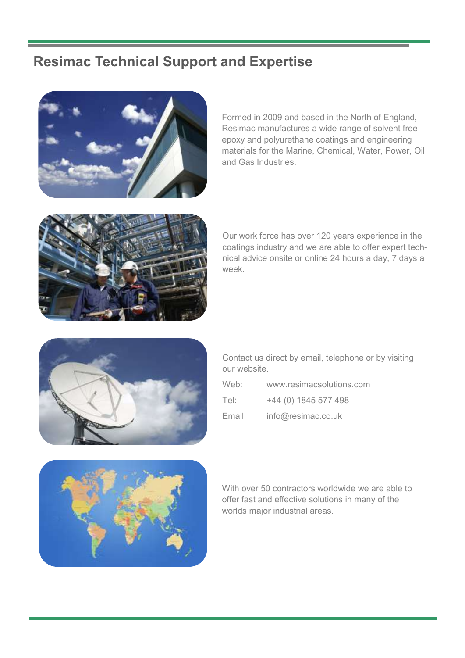## **Resimac Technical Support and Expertise**

![](_page_18_Picture_1.jpeg)

Formed in 2009 and based in the North of England, Resimac manufactures a wide range of solvent free epoxy and polyurethane coatings and engineering materials for the Marine, Chemical, Water, Power, Oil and Gas Industries.

![](_page_18_Picture_3.jpeg)

Our work force has over 120 years experience in the coatings industry and we are able to offer expert technical advice onsite or online 24 hours a day, 7 days a week.

![](_page_18_Picture_5.jpeg)

Contact us direct by email, telephone or by visiting our website.

| Web:   | www.resimacsolutions.com |
|--------|--------------------------|
| Tel:   | +44 (0) 1845 577 498     |
| Email: | info@resimac.co.uk       |

![](_page_18_Picture_8.jpeg)

With over 50 contractors worldwide we are able to offer fast and effective solutions in many of the worlds major industrial areas.